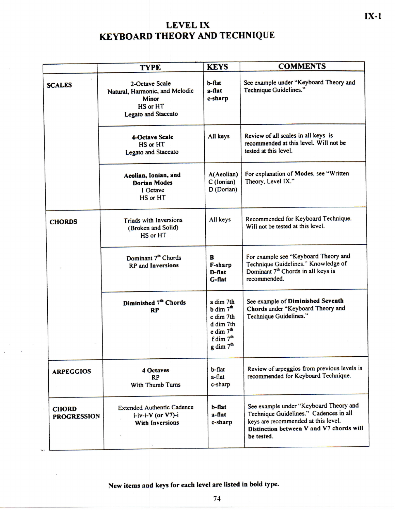## **LEVEL IX KEYBOARD THEORY AND TECHNIQUE**

|                                    | <b>TYPE</b>                                                                                         | <b>KEYS</b>                                                                                                                               | <b>COMMENTS</b>                                                                                                                                                                   |  |  |  |
|------------------------------------|-----------------------------------------------------------------------------------------------------|-------------------------------------------------------------------------------------------------------------------------------------------|-----------------------------------------------------------------------------------------------------------------------------------------------------------------------------------|--|--|--|
| <b>SCALES</b>                      | 2-Octave Scale<br>Natural, Harmonic, and Melodic<br><b>Minor</b><br>HS or HT<br>Legato and Staccato | b-flat<br>$a$ -flat<br>c-sharp                                                                                                            | See example under "Keyboard Theory and<br>Technique Guidelines."                                                                                                                  |  |  |  |
|                                    | <b>4-Octave Scale</b><br><b>HS or HT</b><br><b>Legato and Staccato</b>                              |                                                                                                                                           | Review of all scales in all keys is<br>recommended at this level. Will not be<br>tested at this level.                                                                            |  |  |  |
|                                    | Aeolian, Ionian, and<br><b>Dorian Modes</b><br>1 Octave<br>HS or HT                                 | A(Aeolian)<br>C (Ionian)<br>D (Dorian)                                                                                                    | For explanation of Modes, see "Written<br>Theory, Level IX."                                                                                                                      |  |  |  |
| <b>CHORDS</b>                      | Triads with Inversions<br>(Broken and Solid)<br>HS or HT                                            | All keys                                                                                                                                  | Recommended for Keyboard Technique.<br>Will not be tested at this level.                                                                                                          |  |  |  |
|                                    | Dominant 7 <sup>th</sup> Chords<br><b>RP</b> and Inversions                                         | B<br>F-sharp<br>$D$ -flat<br>$G$ -flat                                                                                                    | For example see "Keyboard Theory and<br>Technique Guidelines." Knowledge of<br>Dominant 7 <sup>th</sup> Chords in all keys is<br>recommended.                                     |  |  |  |
|                                    | Diminished 7th Chords<br><b>RP</b>                                                                  | a dim 7th<br>$b \dim 7^{\text{th}}$<br>c dim 7th<br>d dim 7th<br>$e \dim 7^{\text{th}}$<br>f dim $7^{\text{th}}$<br>g dim 7 <sup>th</sup> | See example of Diminished Seventh<br>Chords under "Keyboard Theory and<br>Technique Guidelines."                                                                                  |  |  |  |
| <b>ARPEGGIOS</b>                   | <b>4 Octaves</b><br><b>RP</b><br>With Thumb Turns                                                   | $b$ -flat<br>a-flat<br>c-sharp                                                                                                            | Review of arpeggios from previous levels is<br>recommended for Keyboard Technique.                                                                                                |  |  |  |
| <b>CHORD</b><br><b>PROGRESSION</b> | <b>Extended Authentic Cadence</b><br>$i$ -iv-i-V (or V7)-i<br><b>With Inversions</b>                | $b$ -flat<br>$a$ -flat<br>c-sharp                                                                                                         | See example under "Keyboard Theory and<br>Technique Guidelines." Cadences in all<br>keys are recommended at this level.<br>Distinction between V and V7 chords will<br>be tested. |  |  |  |

**New items and keys for each** level **are listed in bold type.** 

**IX-1**